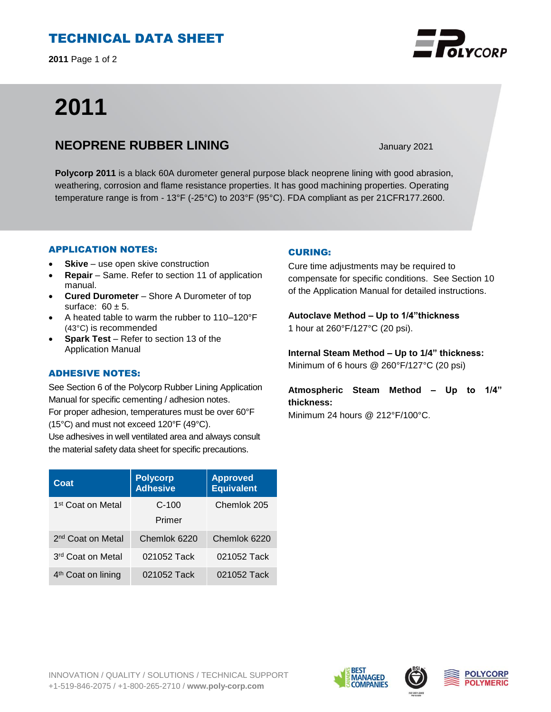# TECHNICAL DATA SHEET

**2011** Page 1 of 2

# **2011**

## **NEOPRENE RUBBER LINING** January 2021

**Polycorp 2011** is a black 60A durometer general purpose black neoprene lining with good abrasion, weathering, corrosion and flame resistance properties. It has good machining properties. Operating temperature range is from - 13°F (-25°C) to 203°F (95°C). FDA compliant as per 21CFR177.2600.

## APPLICATION NOTES:

- **Skive** use open skive construction
- **Repair**  Same. Refer to section 11 of application manual.
- **Cured Durometer**  Shore A Durometer of top surface:  $60 \pm 5$ .
- A heated table to warm the rubber to 110–120°F (43°C) is recommended
- **Spark Test** Refer to section 13 of the Application Manual

## ADHESIVE NOTES:

See Section 6 of the Polycorp Rubber Lining Application Manual for specific cementing / adhesion notes. For proper adhesion, temperatures must be over 60°F (15°C) and must not exceed 120°F (49°C).

Use adhesives in well ventilated area and always consult the material safety data sheet for specific precautions.

| Coat                           | <b>Polycorp</b><br><b>Adhesive</b> | <b>Approved</b><br><b>Equivalent</b> |
|--------------------------------|------------------------------------|--------------------------------------|
| 1 <sup>st</sup> Coat on Metal  | $C-100$                            | Chemlok 205                          |
|                                | Primer                             |                                      |
| 2 <sup>nd</sup> Coat on Metal  | Chemlok 6220                       | Chemlok 6220                         |
| 3 <sup>rd</sup> Coat on Metal  | 021052 Tack                        | 021052 Tack                          |
| 4 <sup>th</sup> Coat on lining | 021052 Tack                        | 021052 Tack                          |

## CURING:

Cure time adjustments may be required to compensate for specific conditions. See Section 10 of the Application Manual for detailed instructions.

**Autoclave Method – Up to 1/4"thickness**  1 hour at 260°F/127°C (20 psi).

**Internal Steam Method – Up to 1/4" thickness:** Minimum of 6 hours @ 260°F/127°C (20 psi)

**Atmospheric Steam Method – Up to 1/4" thickness:**

Minimum 24 hours @ 212°F/100°C.